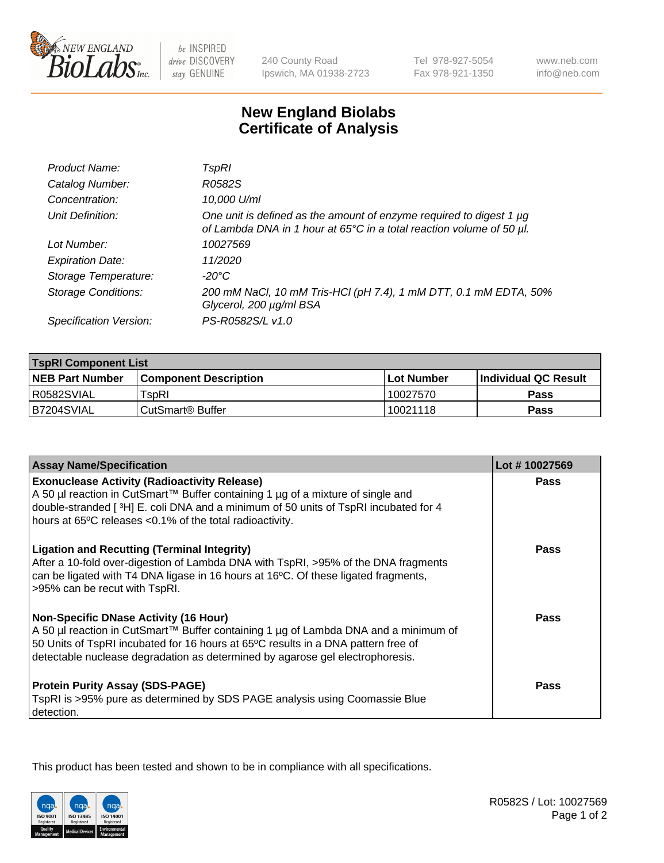

 $be$  INSPIRED drive DISCOVERY stay GENUINE

240 County Road Ipswich, MA 01938-2723 Tel 978-927-5054 Fax 978-921-1350

www.neb.com info@neb.com

## **New England Biolabs Certificate of Analysis**

| Product Name:              | TspRI                                                                                                                                       |
|----------------------------|---------------------------------------------------------------------------------------------------------------------------------------------|
| Catalog Number:            | R0582S                                                                                                                                      |
| Concentration:             | 10,000 U/ml                                                                                                                                 |
| Unit Definition:           | One unit is defined as the amount of enzyme required to digest 1 µg<br>of Lambda DNA in 1 hour at 65°C in a total reaction volume of 50 µl. |
| Lot Number:                | 10027569                                                                                                                                    |
| <b>Expiration Date:</b>    | 11/2020                                                                                                                                     |
| Storage Temperature:       | -20°C                                                                                                                                       |
| <b>Storage Conditions:</b> | 200 mM NaCl, 10 mM Tris-HCl (pH 7.4), 1 mM DTT, 0.1 mM EDTA, 50%<br>Glycerol, 200 µg/ml BSA                                                 |
| Specification Version:     | PS-R0582S/L v1.0                                                                                                                            |

| <b>TspRI Component List</b> |                               |              |                        |  |
|-----------------------------|-------------------------------|--------------|------------------------|--|
| <b>NEB Part Number</b>      | <b>Component Description</b>  | l Lot Number | l Individual QC Result |  |
| R0582SVIAL                  | $\mathsf{r}_{\mathsf{SDR}}$ l | 10027570     | <b>Pass</b>            |  |
| I B7204SVIAL                | CutSmart <sup>®</sup> Buffer  | 10021118     | Pass                   |  |

| <b>Assay Name/Specification</b>                                                                                                                                                                                                                                                                           | Lot #10027569 |
|-----------------------------------------------------------------------------------------------------------------------------------------------------------------------------------------------------------------------------------------------------------------------------------------------------------|---------------|
| <b>Exonuclease Activity (Radioactivity Release)</b><br>A 50 µl reaction in CutSmart™ Buffer containing 1 µg of a mixture of single and                                                                                                                                                                    | Pass          |
| double-stranded [ $3H$ ] E. coli DNA and a minimum of 50 units of TspRI incubated for 4<br>hours at 65°C releases <0.1% of the total radioactivity.                                                                                                                                                       |               |
| <b>Ligation and Recutting (Terminal Integrity)</b><br>After a 10-fold over-digestion of Lambda DNA with TspRI, >95% of the DNA fragments<br>can be ligated with T4 DNA ligase in 16 hours at 16°C. Of these ligated fragments,<br>>95% can be recut with TspRI.                                           | Pass          |
| <b>Non-Specific DNase Activity (16 Hour)</b><br>A 50 µl reaction in CutSmart™ Buffer containing 1 µg of Lambda DNA and a minimum of<br>50 Units of TspRI incubated for 16 hours at 65°C results in a DNA pattern free of<br>detectable nuclease degradation as determined by agarose gel electrophoresis. | <b>Pass</b>   |
| <b>Protein Purity Assay (SDS-PAGE)</b><br>TspRI is >95% pure as determined by SDS PAGE analysis using Coomassie Blue<br>detection.                                                                                                                                                                        | <b>Pass</b>   |

This product has been tested and shown to be in compliance with all specifications.